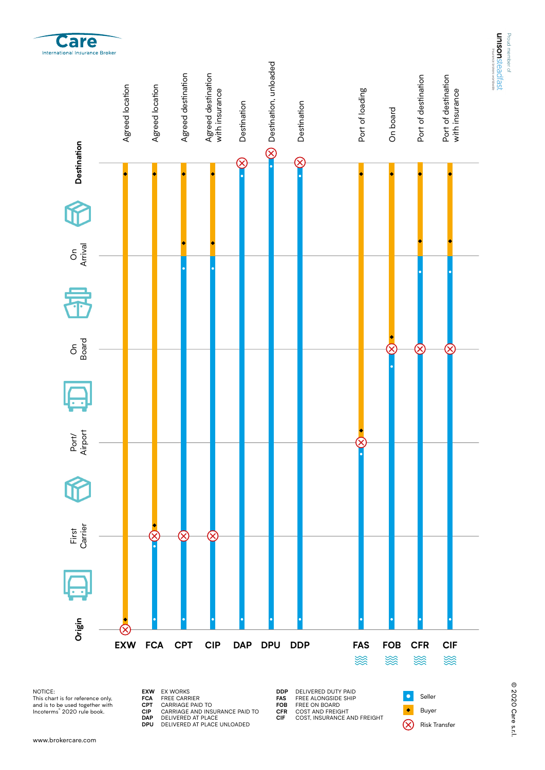

NOTICE: This chart is for reference only, and is to be used together with Incoterms® 2020 rule book.

www.brokercare.com

**Care** 

**EXW FCA CPT CIP DAP DPU** EX WORKS FREE CARRIER

- 
- CARRIAGE PAID TO CARRIAGE AND INSURANCE PAID TO DELIVERED AT PLACE DELIVERED AT PLACE UNLOADED
	-

**DDP FAS FOB CFR CIF** DELIVERED DUTY PAID FREE ALONGSIDE SHIP FREE ON BOARD COST AND FREIGHT COST, INSURANCE AND FREIGHT

Seller **C** Buyer  $\otimes$ Risk Transfer Proud member of

Proud member of